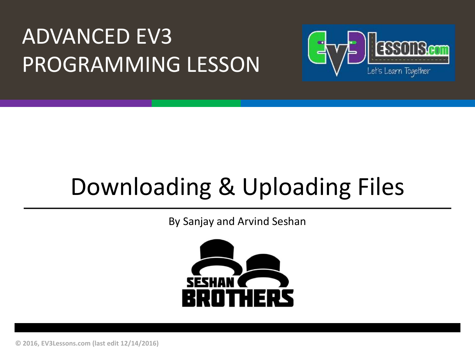### **ADVANCED EV3** PROGRAMMING LESSON



## Downloading & Uploading Files

By Sanjay and Arvind Seshan



**© 2016, EV3Lessons.com (last edit 12/14/2016)**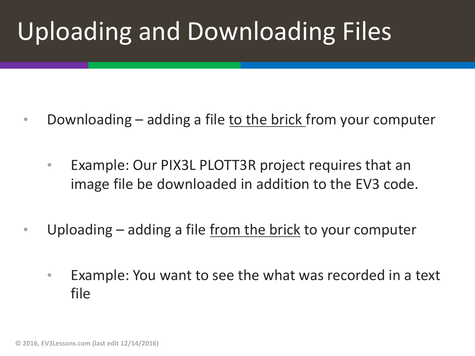# Uploading and Downloading Files

- Downloading adding a file to the brick from your computer
	- Example: Our PIX3L PLOTT3R project requires that an image file be downloaded in addition to the EV3 code.
- Uploading adding a file from the brick to your computer
	- Example: You want to see the what was recorded in a text file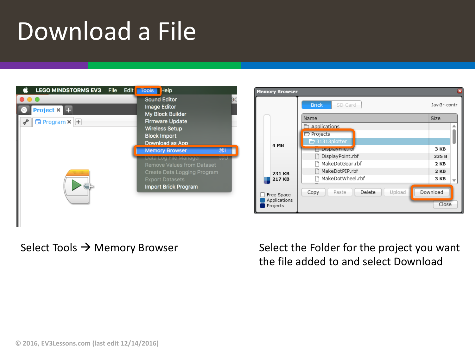### Download a File

| <b>LEGO MINDSTORMS EV3</b>                                     | <b>File</b> | Edit                       | Tools Help                                                                                                                                           |  |
|----------------------------------------------------------------|-------------|----------------------------|------------------------------------------------------------------------------------------------------------------------------------------------------|--|
| Project $\times$ $\blacksquare$<br>$\Box$ Program $\times$ $+$ |             |                            | Sound Editor<br>Image Editor<br>My Block Builder<br><b>Firmware Update</b><br><b>Wireless Setup</b><br><b>Block Import</b><br>Download as App        |  |
|                                                                |             | <b>Memory Browser</b><br>黑 |                                                                                                                                                      |  |
|                                                                |             |                            | Data Log File Manager<br>als l<br>Remove Values from Dataset<br>Create Data Logging Program<br><b>Export Datasets</b><br><b>Import Brick Program</b> |  |



Select Tools  $\rightarrow$  Memory Browser Select the Folder for the project you want the file added to and select Download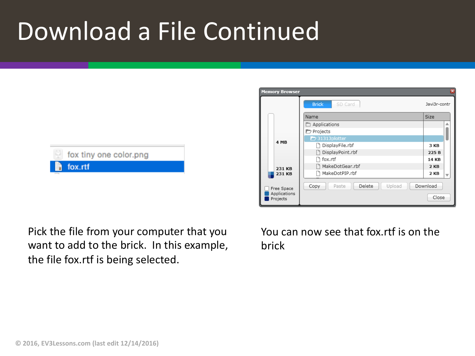## Download a File Continued



Pick the file from your computer that you want to add to the brick. In this example, the file fox.rtf is being selected.



You can now see that fox.rtf is on the brick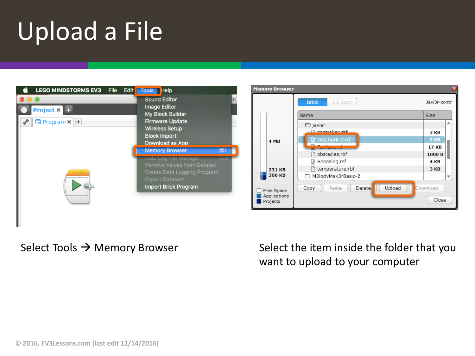# Upload a File

| <b>LEGO MINDSTORMS EV3</b>                                        | <b>File</b> | <b>Edit</b>                                                                                                                                                                                  | Help<br><b>Tools</b>                                                                                                                                 | Me |
|-------------------------------------------------------------------|-------------|----------------------------------------------------------------------------------------------------------------------------------------------------------------------------------------------|------------------------------------------------------------------------------------------------------------------------------------------------------|----|
| Project × <b>Ex</b><br>$\Box$ Program $\times$ $\left  + \right $ |             |                                                                                                                                                                                              | <b>Sound Editor</b><br>Image Editor<br>My Block Builder<br><b>Firmware Update</b><br><b>Wireless Setup</b><br><b>Block Import</b><br>Download as App |    |
|                                                                   |             | <b>Memory Browser</b><br>$\mathbb{H}$<br>ä6 U<br>Data Log Hile Manager<br><b>Remove Values from Dataset</b><br>Create Data Logging Program<br><b>Export Datasets</b><br>Import Brick Program |                                                                                                                                                      |    |



Select Tools  $\rightarrow$  Memory Browser Select the item inside the folder that you want to upload to your computer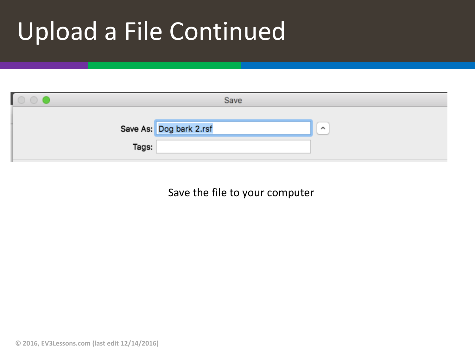## Upload a File Continued

| Save  |                         |          |  |  |  |  |  |
|-------|-------------------------|----------|--|--|--|--|--|
|       | Save As: Dog bark 2.rsf | $\wedge$ |  |  |  |  |  |
| Tags: |                         |          |  |  |  |  |  |

Save the file to your computer